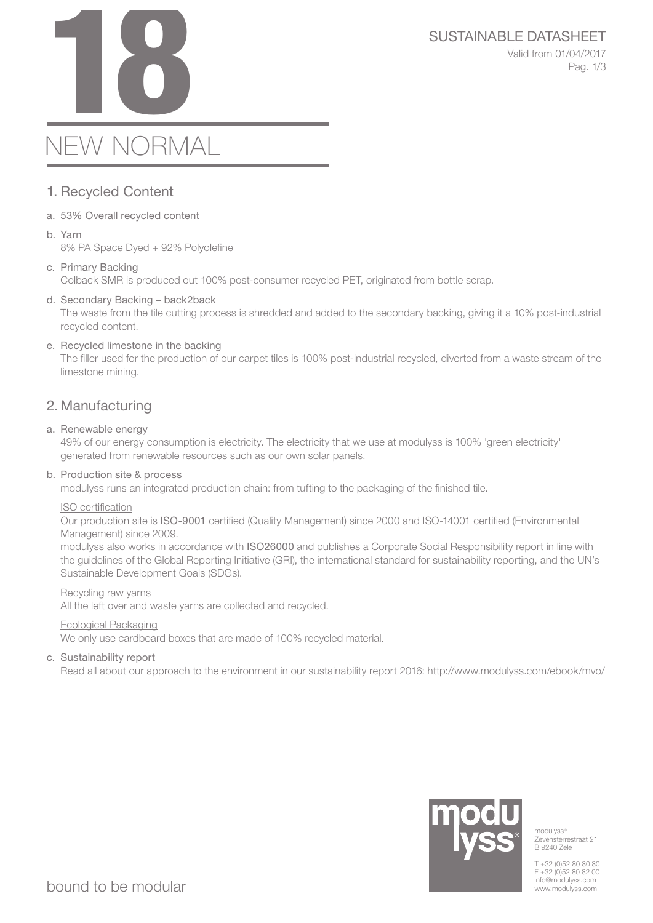# SUSTAINABLE DATASHEET<br>Valid from 01/04/2017<br>Pag. 1/3

Valid from 01/04/2017 Pag. 1/3

# NEW NORMAL

# 1. Recycled Content

- a. 53% Overall recycled content
- b. Yarn 8% PA Space Dyed + 92% Polyolefine
- c. Primary Backing Colback SMR is produced out 100% post-consumer recycled PET, originated from bottle scrap.
- d. Secondary Backing back2back The waste from the tile cutting process is shredded and added to the secondary backing, giving it a 10% post-industrial recycled content.
- e. Recycled limestone in the backing The filler used for the production of our carpet tiles is 100% post-industrial recycled, diverted from a waste stream of the limestone mining.

# 2. Manufacturing

### a. Renewable energy

49% of our energy consumption is electricity. The electricity that we use at modulyss is 100% 'green electricity' generated from renewable resources such as our own solar panels.

#### b. Production site & process

modulyss runs an integrated production chain: from tufting to the packaging of the finished tile.

#### ISO certification

Our production site is ISO-9001 certified (Quality Management) since 2000 and ISO-14001 certified (Environmental Management) since 2009.

modulyss also works in accordance with ISO26000 and publishes a Corporate Social Responsibility report in line with the guidelines of the Global Reporting Initiative (GRI), the international standard for sustainability reporting, and the UN's Sustainable Development Goals (SDGs).

#### Recycling raw yarns

All the left over and waste yarns are collected and recycled.

#### Ecological Packaging

We only use cardboard boxes that are made of 100% recycled material.

### c. Sustainability report

Read all about our approach to the environment in our sustainability report 2016: http://www.modulyss.com/ebook/mvo/



modulyss<sup>®</sup> Zevensterrestraat 21 B 9240 Zele

T +32 (0)52 80 80 80 F +32 (0)52 80 82 00 info@modulyss.com www.modulyss.com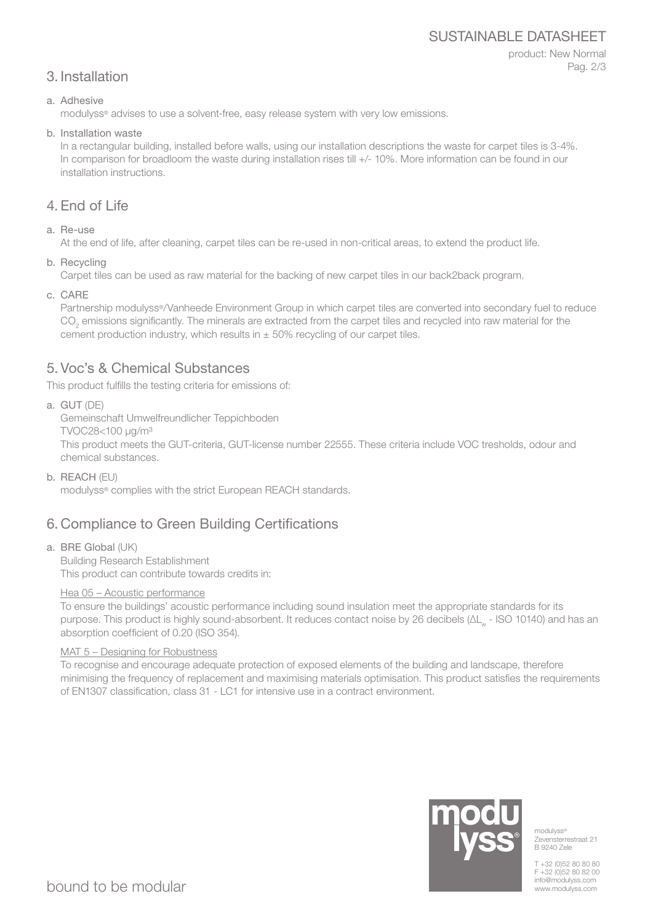# SUSTAINABLE DATASHEET

## product: New Normal Pag. 2/3

# 3. Installation

#### a. Adhesive

modulyss® advises to use a solvent-free, easy release system with very low emissions.

b. Installation waste

In a rectangular building, installed before walls, using our installation descriptions the waste for carpet tiles is 3-4%. In comparison for broadloom the waste during installation rises till +/- 10%. More information can be found in our installation instructions.

# 4. End of Life

a. Re-use

At the end of life, after cleaning, carpet tiles can be re-used in non-critical areas, to extend the product life.

b. Recycling

Carpet tiles can be used as raw material for the backing of new carpet tiles in our back2back program.

c. CARE

Partnership modulyss®/Vanheede Environment Group in which carpet tiles are converted into secondary fuel to reduce  $\mathrm{CO}_2$  emissions significantly. The minerals are extracted from the carpet tiles and recycled into raw material for the cement production industry, which results in  $\pm$  50% recycling of our carpet tiles.

# 5. Voc's & Chemical Substances

This product fulfills the testing criteria for emissions of:

a. GUT (DE)

Gemeinschaft Umwelfreundlicher Teppichboden

TVOC28<100 μg/m³

This product meets the GUT-criteria, GUT-license number 22555. These criteria include VOC tresholds, odour and chemical substances.

b. REACH (EU)

modulyss® complies with the strict European REACH standards.

# 6. Compliance to Green Building Certifications

a. BRE Global (UK)

Building Research Establishment This product can contribute towards credits in:

### Hea 05 – Acoustic performance

To ensure the buildings' acoustic performance including sound insulation meet the appropriate standards for its purpose. This product is highly sound-absorbent. It reduces contact noise by 26 decibels (ΔL<sub>w</sub> - ISO 10140) and has an absorption coefficient of 0.20 (ISO 354).

### MAT 5 – Designing for Robustness

To recognise and encourage adequate protection of exposed elements of the building and landscape, therefore minimising the frequency of replacement and maximising materials optimisation. This product satisfies the requirements of EN1307 classification, class 31 - LC1 for intensive use in a contract environment.



modulyss® Zevensterrestraat 21 B 9240 Zele

T +32 (0)52 80 80 80 F +32 (0)52 80 82 00 info@modulyss.com www.modulyss.com